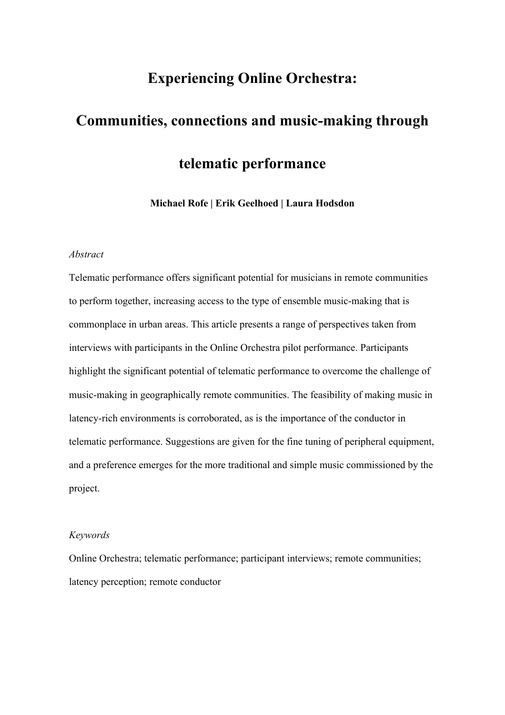# **Experiencing Online Orchestra:**

# **Communities, connections and music-making through telematic performance**

**Michael Rofe | Erik Geelhoed | Laura Hodsdon**

### *Abstract*

Telematic performance offers significant potential for musicians in remote communities to perform together, increasing access to the type of ensemble music-making that is commonplace in urban areas. This article presents a range of perspectives taken from interviews with participants in the Online Orchestra pilot performance. Participants highlight the significant potential of telematic performance to overcome the challenge of music-making in geographically remote communities. The feasibility of making music in latency-rich environments is corroborated, as is the importance of the conductor in telematic performance. Suggestions are given for the fine tuning of peripheral equipment, and a preference emerges for the more traditional and simple music commissioned by the project.

#### *Keywords*

Online Orchestra; telematic performance; participant interviews; remote communities; latency perception; remote conductor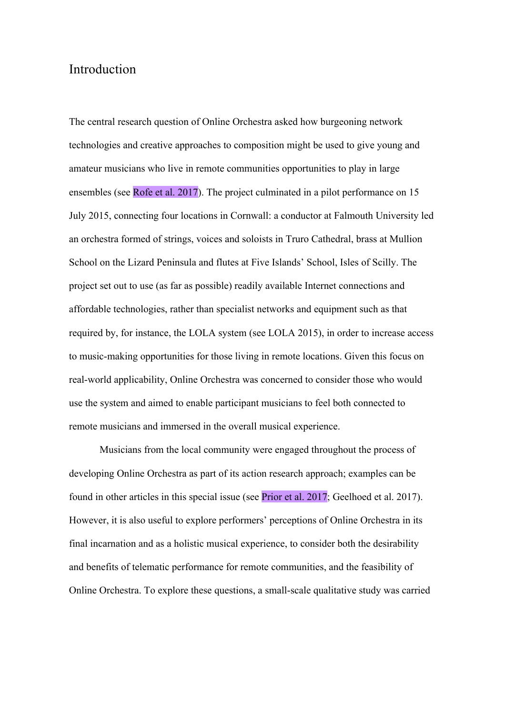## Introduction

The central research question of Online Orchestra asked how burgeoning network technologies and creative approaches to composition might be used to give young and amateur musicians who live in remote communities opportunities to play in large ensembles (see Rofe et al. 2017). The project culminated in a pilot performance on 15 July 2015, connecting four locations in Cornwall: a conductor at Falmouth University led an orchestra formed of strings, voices and soloists in Truro Cathedral, brass at Mullion School on the Lizard Peninsula and flutes at Five Islands' School, Isles of Scilly. The project set out to use (as far as possible) readily available Internet connections and affordable technologies, rather than specialist networks and equipment such as that required by, for instance, the LOLA system (see LOLA 2015), in order to increase access to music-making opportunities for those living in remote locations. Given this focus on real-world applicability, Online Orchestra was concerned to consider those who would use the system and aimed to enable participant musicians to feel both connected to remote musicians and immersed in the overall musical experience.

Musicians from the local community were engaged throughout the process of developing Online Orchestra as part of its action research approach; examples can be found in other articles in this special issue (see Prior et al. 2017; Geelhoed et al. 2017). However, it is also useful to explore performers' perceptions of Online Orchestra in its final incarnation and as a holistic musical experience, to consider both the desirability and benefits of telematic performance for remote communities, and the feasibility of Online Orchestra. To explore these questions, a small-scale qualitative study was carried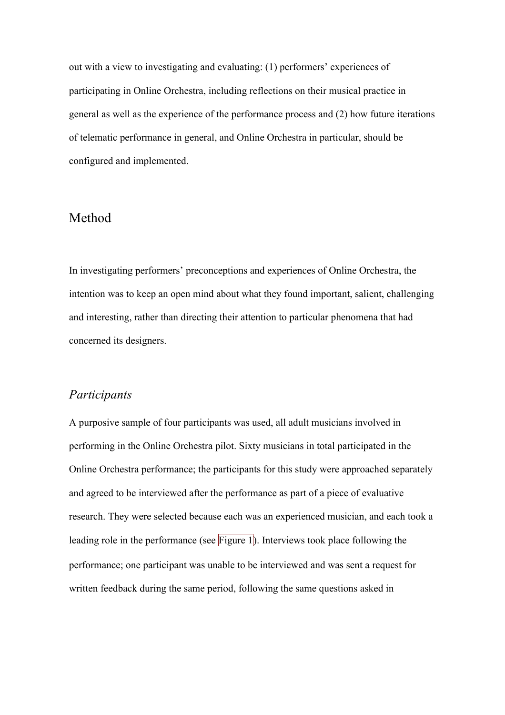out with a view to investigating and evaluating: (1) performers' experiences of participating in Online Orchestra, including reflections on their musical practice in general as well as the experience of the performance process and (2) how future iterations of telematic performance in general, and Online Orchestra in particular, should be configured and implemented.

## Method

In investigating performers' preconceptions and experiences of Online Orchestra, the intention was to keep an open mind about what they found important, salient, challenging and interesting, rather than directing their attention to particular phenomena that had concerned its designers.

### *Participants*

A purposive sample of four participants was used, all adult musicians involved in performing in the Online Orchestra pilot. Sixty musicians in total participated in the Online Orchestra performance; the participants for this study were approached separately and agreed to be interviewed after the performance as part of a piece of evaluative research. They were selected because each was an experienced musician, and each took a leading role in the performance (see Figure 1). Interviews took place following the performance; one participant was unable to be interviewed and was sent a request for written feedback during the same period, following the same questions asked in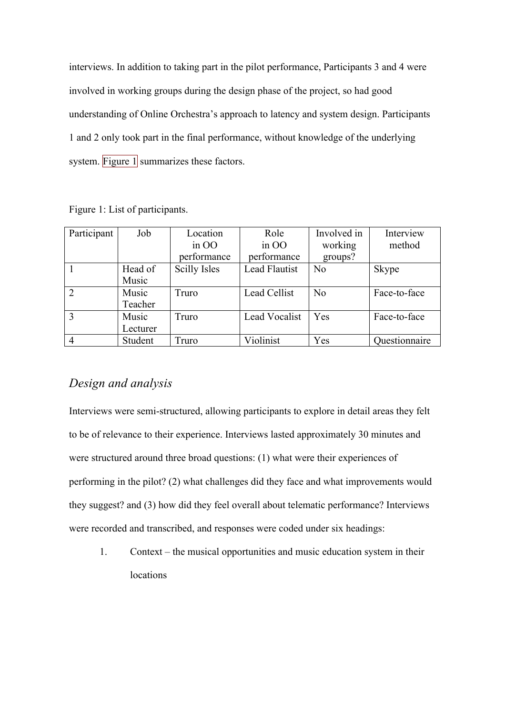interviews. In addition to taking part in the pilot performance, Participants 3 and 4 were involved in working groups during the design phase of the project, so had good understanding of Online Orchestra's approach to latency and system design. Participants 1 and 2 only took part in the final performance, without knowledge of the underlying system. Figure  $1$  summarizes these factors.

| Participant   | Job      | Location     | Role                 | Involved in    | Interview     |
|---------------|----------|--------------|----------------------|----------------|---------------|
|               |          | $\sin 00$    | $\sin$ OO            | working        | method        |
|               |          | performance  | performance          | groups?        |               |
|               | Head of  | Scilly Isles | <b>Lead Flautist</b> | No             | <b>Skype</b>  |
|               | Music    |              |                      |                |               |
| $\mathcal{D}$ | Music    | Truro        | Lead Cellist         | N <sub>0</sub> | Face-to-face  |
|               | Teacher  |              |                      |                |               |
| 3             | Music    | Truro        | Lead Vocalist        | Yes            | Face-to-face  |
|               | Lecturer |              |                      |                |               |
|               | Student  | Truro        | Violinist            | Yes            | Questionnaire |

Figure 1: List of participants.

# *Design and analysis*

Interviews were semi-structured, allowing participants to explore in detail areas they felt to be of relevance to their experience. Interviews lasted approximately 30 minutes and were structured around three broad questions: (1) what were their experiences of performing in the pilot? (2) what challenges did they face and what improvements would they suggest? and (3) how did they feel overall about telematic performance? Interviews were recorded and transcribed, and responses were coded under six headings:

1. Context – the musical opportunities and music education system in their locations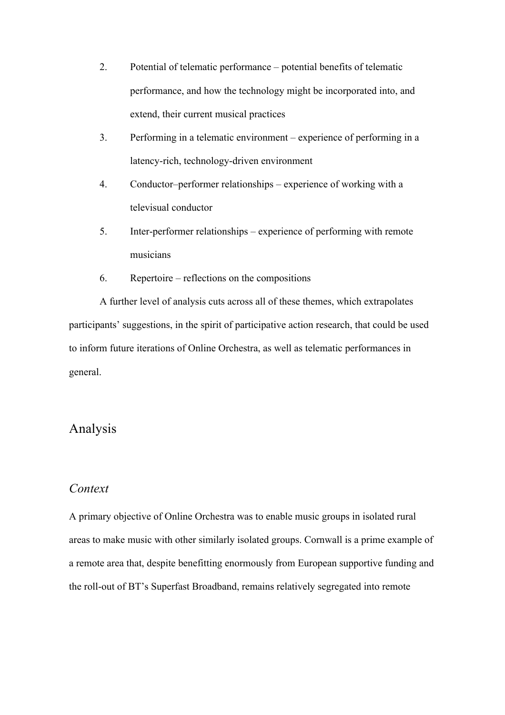- 2. Potential of telematic performance potential benefits of telematic performance, and how the technology might be incorporated into, and extend, their current musical practices
- 3. Performing in a telematic environment experience of performing in a latency-rich, technology-driven environment
- 4. Conductor–performer relationships experience of working with a televisual conductor
- 5. Inter-performer relationships experience of performing with remote musicians
- 6. Repertoire reflections on the compositions

A further level of analysis cuts across all of these themes, which extrapolates participants' suggestions, in the spirit of participative action research, that could be used to inform future iterations of Online Orchestra, as well as telematic performances in general.

# Analysis

### *Context*

A primary objective of Online Orchestra was to enable music groups in isolated rural areas to make music with other similarly isolated groups. Cornwall is a prime example of a remote area that, despite benefitting enormously from European supportive funding and the roll-out of BT's Superfast Broadband, remains relatively segregated into remote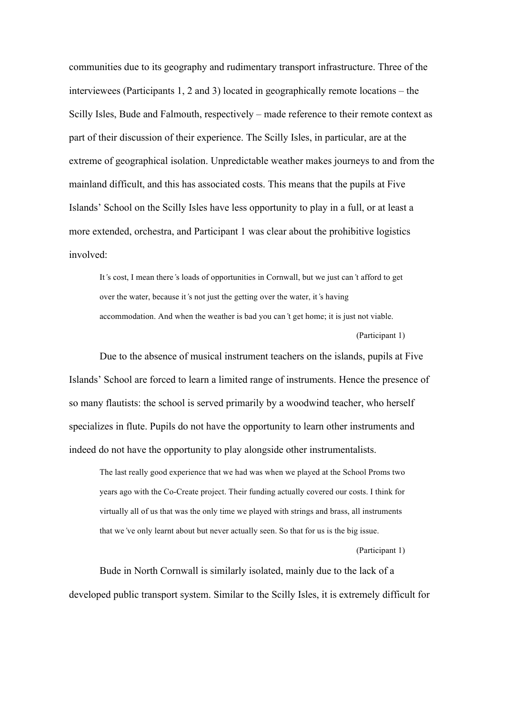communities due to its geography and rudimentary transport infrastructure. Three of the interviewees (Participants 1, 2 and 3) located in geographically remote locations – the Scilly Isles, Bude and Falmouth, respectively – made reference to their remote context as part of their discussion of their experience. The Scilly Isles, in particular, are at the extreme of geographical isolation. Unpredictable weather makes journeys to and from the mainland difficult, and this has associated costs. This means that the pupils at Five Islands' School on the Scilly Isles have less opportunity to play in a full, or at least a more extended, orchestra, and Participant 1 was clear about the prohibitive logistics involved:

It*'*s cost, I mean there*'*s loads of opportunities in Cornwall, but we just can*'*t afford to get over the water, because it*'*s not just the getting over the water, it*'*s having accommodation. And when the weather is bad you can*'*t get home; it is just not viable. (Participant 1)

Due to the absence of musical instrument teachers on the islands, pupils at Five Islands' School are forced to learn a limited range of instruments. Hence the presence of so many flautists: the school is served primarily by a woodwind teacher, who herself specializes in flute. Pupils do not have the opportunity to learn other instruments and indeed do not have the opportunity to play alongside other instrumentalists.

The last really good experience that we had was when we played at the School Proms two years ago with the Co-Create project. Their funding actually covered our costs. I think for virtually all of us that was the only time we played with strings and brass, all instruments that we*'*ve only learnt about but never actually seen. So that for us is the big issue.

(Participant 1)

Bude in North Cornwall is similarly isolated, mainly due to the lack of a developed public transport system. Similar to the Scilly Isles, it is extremely difficult for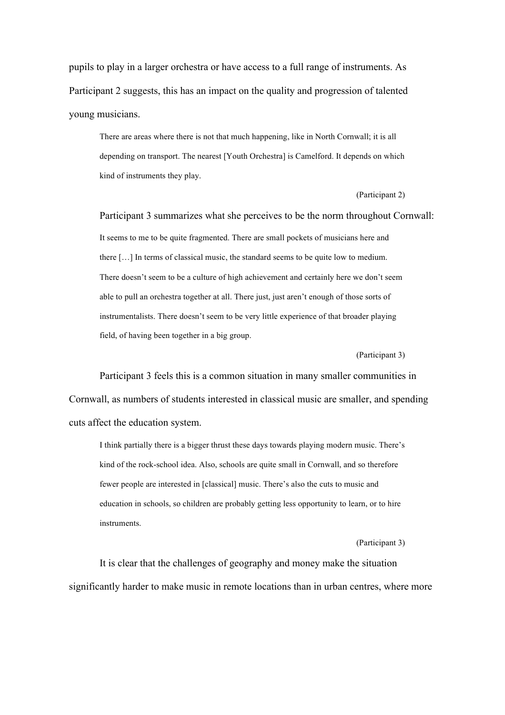pupils to play in a larger orchestra or have access to a full range of instruments. As Participant 2 suggests, this has an impact on the quality and progression of talented young musicians.

There are areas where there is not that much happening, like in North Cornwall; it is all depending on transport. The nearest [Youth Orchestra] is Camelford. It depends on which kind of instruments they play.

#### (Participant 2)

Participant 3 summarizes what she perceives to be the norm throughout Cornwall: It seems to me to be quite fragmented. There are small pockets of musicians here and there […] In terms of classical music, the standard seems to be quite low to medium. There doesn't seem to be a culture of high achievement and certainly here we don't seem able to pull an orchestra together at all. There just, just aren't enough of those sorts of instrumentalists. There doesn't seem to be very little experience of that broader playing field, of having been together in a big group.

#### (Participant 3)

Participant 3 feels this is a common situation in many smaller communities in Cornwall, as numbers of students interested in classical music are smaller, and spending cuts affect the education system.

I think partially there is a bigger thrust these days towards playing modern music. There's kind of the rock-school idea. Also, schools are quite small in Cornwall, and so therefore fewer people are interested in [classical] music. There's also the cuts to music and education in schools, so children are probably getting less opportunity to learn, or to hire instruments.

#### (Participant 3)

It is clear that the challenges of geography and money make the situation significantly harder to make music in remote locations than in urban centres, where more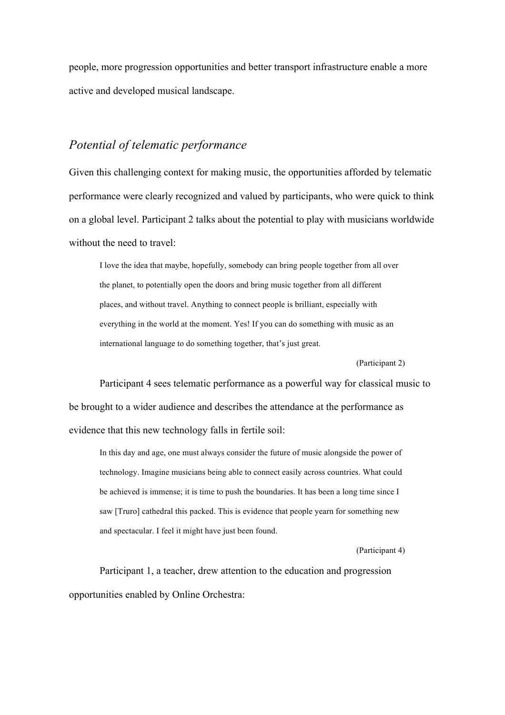people, more progression opportunities and better transport infrastructure enable a more active and developed musical landscape.

# *Potential of telematic performance*

Given this challenging context for making music, the opportunities afforded by telematic performance were clearly recognized and valued by participants, who were quick to think on a global level. Participant 2 talks about the potential to play with musicians worldwide without the need to travel:

I love the idea that maybe, hopefully, somebody can bring people together from all over the planet, to potentially open the doors and bring music together from all different places, and without travel. Anything to connect people is brilliant, especially with everything in the world at the moment. Yes! If you can do something with music as an international language to do something together, that's just great.

(Participant 2)

Participant 4 sees telematic performance as a powerful way for classical music to be brought to a wider audience and describes the attendance at the performance as evidence that this new technology falls in fertile soil:

In this day and age, one must always consider the future of music alongside the power of technology. Imagine musicians being able to connect easily across countries. What could be achieved is immense; it is time to push the boundaries. It has been a long time since I saw [Truro] cathedral this packed. This is evidence that people yearn for something new and spectacular. I feel it might have just been found.

(Participant 4)

Participant 1, a teacher, drew attention to the education and progression opportunities enabled by Online Orchestra: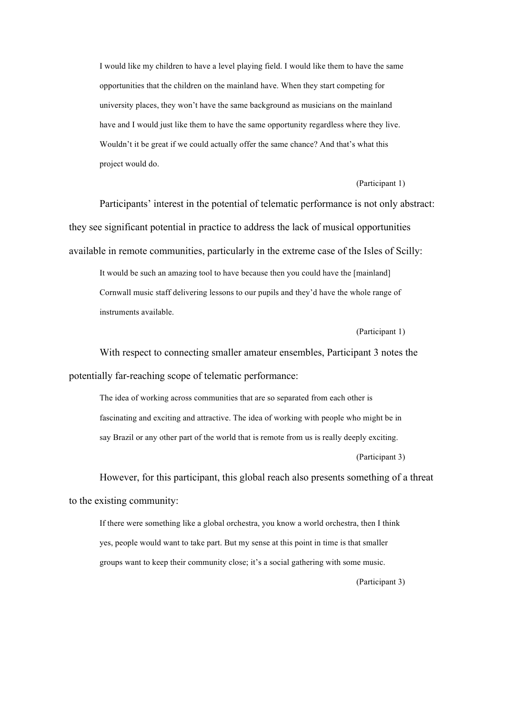I would like my children to have a level playing field. I would like them to have the same opportunities that the children on the mainland have. When they start competing for university places, they won't have the same background as musicians on the mainland have and I would just like them to have the same opportunity regardless where they live. Wouldn't it be great if we could actually offer the same chance? And that's what this project would do.

(Participant 1)

Participants' interest in the potential of telematic performance is not only abstract: they see significant potential in practice to address the lack of musical opportunities available in remote communities, particularly in the extreme case of the Isles of Scilly:

It would be such an amazing tool to have because then you could have the [mainland] Cornwall music staff delivering lessons to our pupils and they'd have the whole range of instruments available.

(Participant 1)

With respect to connecting smaller amateur ensembles, Participant 3 notes the potentially far-reaching scope of telematic performance:

The idea of working across communities that are so separated from each other is fascinating and exciting and attractive. The idea of working with people who might be in say Brazil or any other part of the world that is remote from us is really deeply exciting.

(Participant 3)

However, for this participant, this global reach also presents something of a threat to the existing community:

If there were something like a global orchestra, you know a world orchestra, then I think yes, people would want to take part. But my sense at this point in time is that smaller groups want to keep their community close; it's a social gathering with some music.

(Participant 3)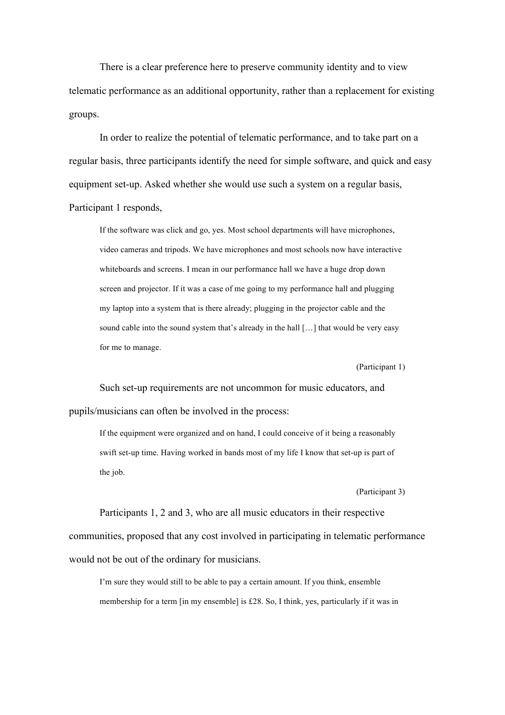There is a clear preference here to preserve community identity and to view telematic performance as an additional opportunity, rather than a replacement for existing groups.

In order to realize the potential of telematic performance, and to take part on a regular basis, three participants identify the need for simple software, and quick and easy equipment set-up. Asked whether she would use such a system on a regular basis, Participant 1 responds,

If the software was click and go, yes. Most school departments will have microphones, video cameras and tripods. We have microphones and most schools now have interactive whiteboards and screens. I mean in our performance hall we have a huge drop down screen and projector. If it was a case of me going to my performance hall and plugging my laptop into a system that is there already; plugging in the projector cable and the sound cable into the sound system that's already in the hall […] that would be very easy for me to manage.

(Participant 1)

Such set-up requirements are not uncommon for music educators, and pupils/musicians can often be involved in the process:

If the equipment were organized and on hand, I could conceive of it being a reasonably swift set-up time. Having worked in bands most of my life I know that set-up is part of the job.

(Participant 3)

Participants 1, 2 and 3, who are all music educators in their respective communities, proposed that any cost involved in participating in telematic performance would not be out of the ordinary for musicians.

I'm sure they would still to be able to pay a certain amount. If you think, ensemble membership for a term [in my ensemble] is £28. So, I think, yes, particularly if it was in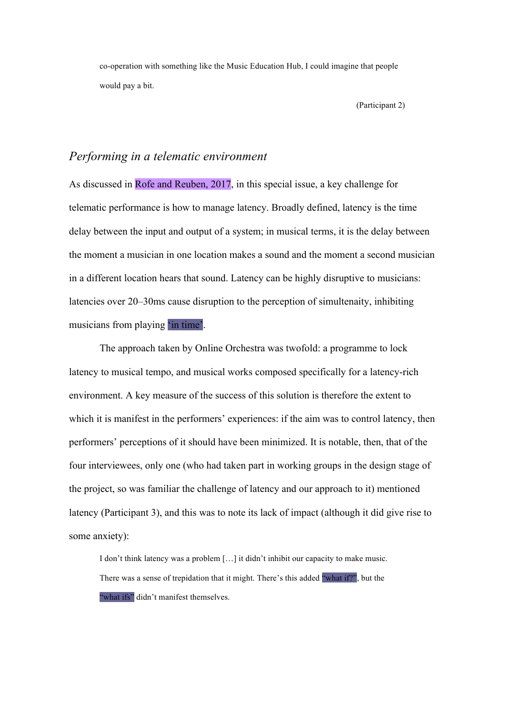co-operation with something like the Music Education Hub, I could imagine that people would pay a bit.

(Participant 2)

### *Performing in a telematic environment*

As discussed in Rofe and Reuben, 2017, in this special issue, a key challenge for telematic performance is how to manage latency. Broadly defined, latency is the time delay between the input and output of a system; in musical terms, it is the delay between the moment a musician in one location makes a sound and the moment a second musician in a different location hears that sound. Latency can be highly disruptive to musicians: latencies over 20–30ms cause disruption to the perception of simultenaity, inhibiting musicians from playing 'in time'.

The approach taken by Online Orchestra was twofold: a programme to lock latency to musical tempo, and musical works composed specifically for a latency-rich environment. A key measure of the success of this solution is therefore the extent to which it is manifest in the performers' experiences: if the aim was to control latency, then performers' perceptions of it should have been minimized. It is notable, then, that of the four interviewees, only one (who had taken part in working groups in the design stage of the project, so was familiar the challenge of latency and our approach to it) mentioned latency (Participant 3), and this was to note its lack of impact (although it did give rise to some anxiety):

I don't think latency was a problem […] it didn't inhibit our capacity to make music. There was a sense of trepidation that it might. There's this added "what if?", but the "what ifs" didn't manifest themselves.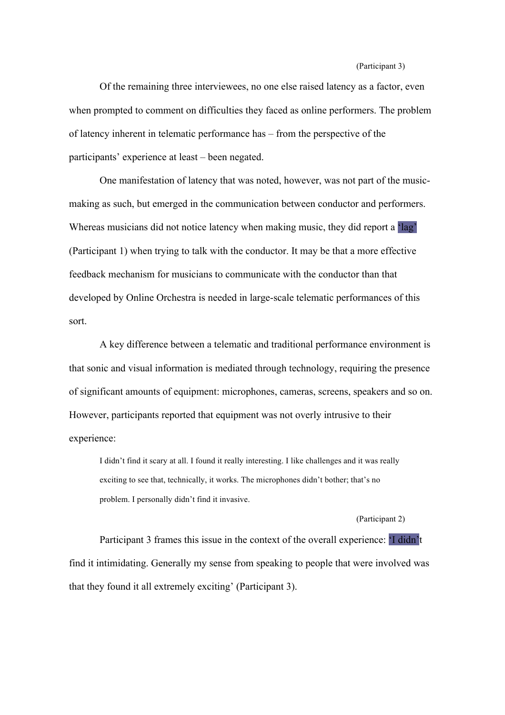#### (Participant 3)

Of the remaining three interviewees, no one else raised latency as a factor, even when prompted to comment on difficulties they faced as online performers. The problem of latency inherent in telematic performance has – from the perspective of the participants' experience at least – been negated.

One manifestation of latency that was noted, however, was not part of the musicmaking as such, but emerged in the communication between conductor and performers. Whereas musicians did not notice latency when making music, they did report a 'lag' (Participant 1) when trying to talk with the conductor. It may be that a more effective feedback mechanism for musicians to communicate with the conductor than that developed by Online Orchestra is needed in large-scale telematic performances of this sort.

A key difference between a telematic and traditional performance environment is that sonic and visual information is mediated through technology, requiring the presence of significant amounts of equipment: microphones, cameras, screens, speakers and so on. However, participants reported that equipment was not overly intrusive to their experience:

I didn't find it scary at all. I found it really interesting. I like challenges and it was really exciting to see that, technically, it works. The microphones didn't bother; that's no problem. I personally didn't find it invasive.

#### (Participant 2)

Participant 3 frames this issue in the context of the overall experience: 'I didn't find it intimidating. Generally my sense from speaking to people that were involved was that they found it all extremely exciting' (Participant 3).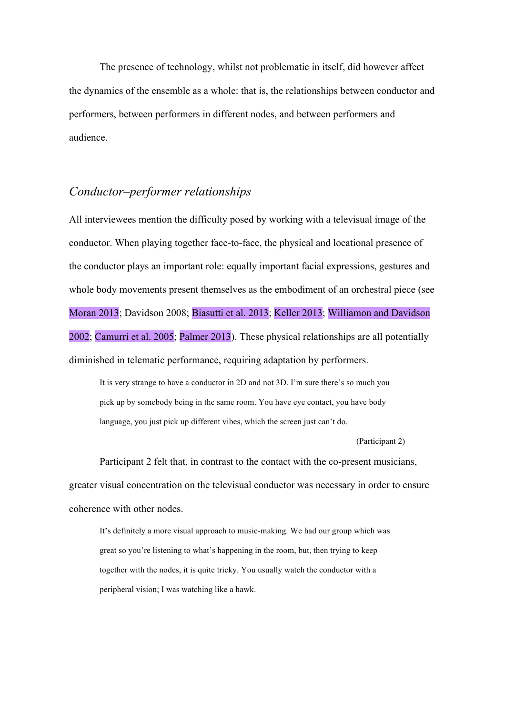The presence of technology, whilst not problematic in itself, did however affect the dynamics of the ensemble as a whole: that is, the relationships between conductor and performers, between performers in different nodes, and between performers and audience.

# *Conductor–performer relationships*

All interviewees mention the difficulty posed by working with a televisual image of the conductor. When playing together face-to-face, the physical and locational presence of the conductor plays an important role: equally important facial expressions, gestures and whole body movements present themselves as the embodiment of an orchestral piece (see Moran 2013; Davidson 2008; Biasutti et al. 2013; Keller 2013; Williamon and Davidson 2002; Camurri et al. 2005; Palmer 2013). These physical relationships are all potentially diminished in telematic performance, requiring adaptation by performers.

It is very strange to have a conductor in 2D and not 3D. I'm sure there's so much you pick up by somebody being in the same room. You have eye contact, you have body language, you just pick up different vibes, which the screen just can't do.

(Participant 2)

Participant 2 felt that, in contrast to the contact with the co-present musicians, greater visual concentration on the televisual conductor was necessary in order to ensure coherence with other nodes.

It's definitely a more visual approach to music-making. We had our group which was great so you're listening to what's happening in the room, but, then trying to keep together with the nodes, it is quite tricky. You usually watch the conductor with a peripheral vision; I was watching like a hawk.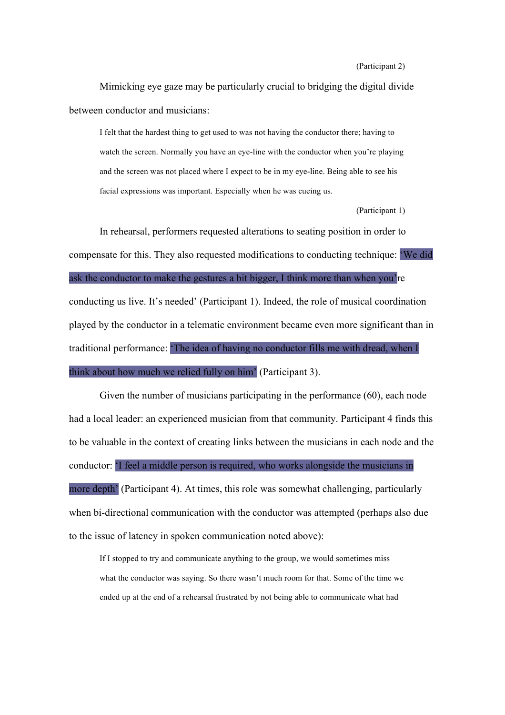#### (Participant 2)

Mimicking eye gaze may be particularly crucial to bridging the digital divide between conductor and musicians:

I felt that the hardest thing to get used to was not having the conductor there; having to watch the screen. Normally you have an eye-line with the conductor when you're playing and the screen was not placed where I expect to be in my eye-line. Being able to see his facial expressions was important. Especially when he was cueing us.

(Participant 1)

In rehearsal, performers requested alterations to seating position in order to compensate for this. They also requested modifications to conducting technique: 'We did ask the conductor to make the gestures a bit bigger, I think more than when you're conducting us live. It's needed' (Participant 1). Indeed, the role of musical coordination played by the conductor in a telematic environment became even more significant than in traditional performance: 'The idea of having no conductor fills me with dread, when I think about how much we relied fully on him' (Participant 3).

Given the number of musicians participating in the performance (60), each node had a local leader: an experienced musician from that community. Participant 4 finds this to be valuable in the context of creating links between the musicians in each node and the conductor: 'I feel a middle person is required, who works alongside the musicians in more depth<sup>'</sup> (Participant 4). At times, this role was somewhat challenging, particularly when bi-directional communication with the conductor was attempted (perhaps also due to the issue of latency in spoken communication noted above):

If I stopped to try and communicate anything to the group, we would sometimes miss what the conductor was saying. So there wasn't much room for that. Some of the time we ended up at the end of a rehearsal frustrated by not being able to communicate what had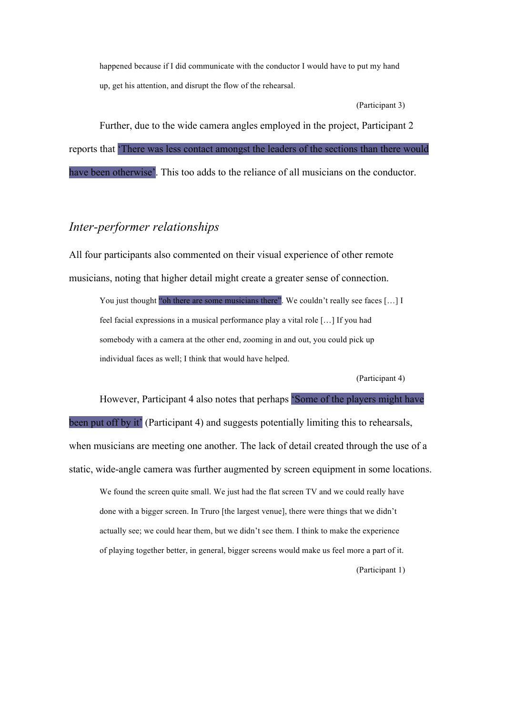happened because if I did communicate with the conductor I would have to put my hand up, get his attention, and disrupt the flow of the rehearsal.

(Participant 3)

Further, due to the wide camera angles employed in the project, Participant 2 reports that 'There was less contact amongst the leaders of the sections than there would have been otherwise'. This too adds to the reliance of all musicians on the conductor.

### *Inter-performer relationships*

All four participants also commented on their visual experience of other remote musicians, noting that higher detail might create a greater sense of connection.

You just thought "oh there are some musicians there". We couldn't really see faces [...] I feel facial expressions in a musical performance play a vital role […] If you had somebody with a camera at the other end, zooming in and out, you could pick up individual faces as well; I think that would have helped.

(Participant 4)

However, Participant 4 also notes that perhaps 'Some of the players might have been put off by it' (Participant 4) and suggests potentially limiting this to rehearsals, when musicians are meeting one another. The lack of detail created through the use of a static, wide-angle camera was further augmented by screen equipment in some locations.

We found the screen quite small. We just had the flat screen TV and we could really have done with a bigger screen. In Truro [the largest venue], there were things that we didn't actually see; we could hear them, but we didn't see them. I think to make the experience of playing together better, in general, bigger screens would make us feel more a part of it.

(Participant 1)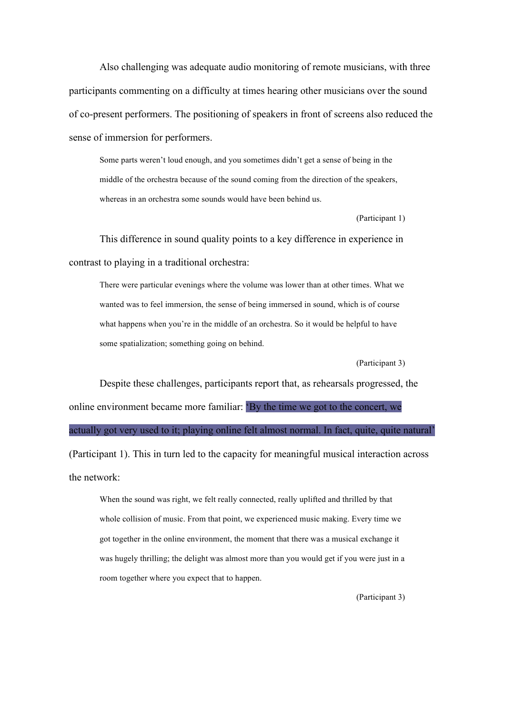Also challenging was adequate audio monitoring of remote musicians, with three participants commenting on a difficulty at times hearing other musicians over the sound of co-present performers. The positioning of speakers in front of screens also reduced the sense of immersion for performers.

Some parts weren't loud enough, and you sometimes didn't get a sense of being in the middle of the orchestra because of the sound coming from the direction of the speakers, whereas in an orchestra some sounds would have been behind us.

(Participant 1)

This difference in sound quality points to a key difference in experience in contrast to playing in a traditional orchestra:

There were particular evenings where the volume was lower than at other times. What we wanted was to feel immersion, the sense of being immersed in sound, which is of course what happens when you're in the middle of an orchestra. So it would be helpful to have some spatialization; something going on behind.

(Participant 3)

Despite these challenges, participants report that, as rehearsals progressed, the online environment became more familiar: 'By the time we got to the concert, we actually got very used to it; playing online felt almost normal. In fact, quite, quite natural' (Participant 1). This in turn led to the capacity for meaningful musical interaction across the network:

When the sound was right, we felt really connected, really uplifted and thrilled by that whole collision of music. From that point, we experienced music making. Every time we got together in the online environment, the moment that there was a musical exchange it was hugely thrilling; the delight was almost more than you would get if you were just in a room together where you expect that to happen.

(Participant 3)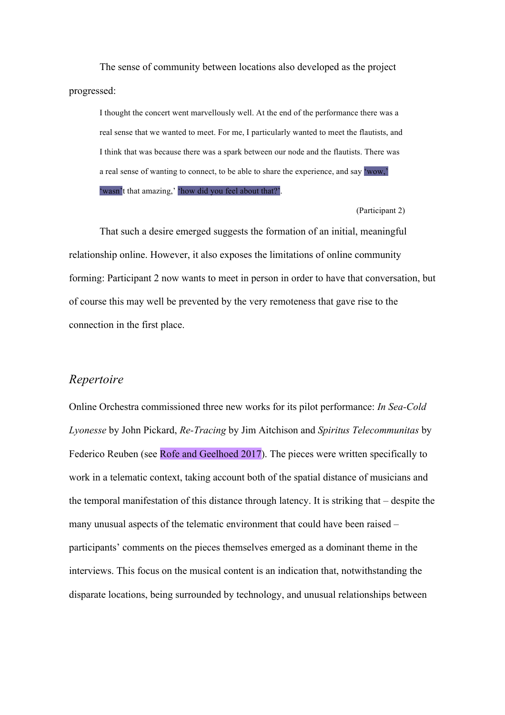The sense of community between locations also developed as the project progressed:

I thought the concert went marvellously well. At the end of the performance there was a real sense that we wanted to meet. For me, I particularly wanted to meet the flautists, and I think that was because there was a spark between our node and the flautists. There was a real sense of wanting to connect, to be able to share the experience, and say 'wow,' 'wasn't that amazing,' 'how did you feel about that?'.

(Participant 2)

That such a desire emerged suggests the formation of an initial, meaningful relationship online. However, it also exposes the limitations of online community forming: Participant 2 now wants to meet in person in order to have that conversation, but of course this may well be prevented by the very remoteness that gave rise to the connection in the first place.

### *Repertoire*

Online Orchestra commissioned three new works for its pilot performance: *In Sea-Cold Lyonesse* by John Pickard, *Re-Tracing* by Jim Aitchison and *Spiritus Telecommunitas* by Federico Reuben (see Rofe and Geelhoed 2017). The pieces were written specifically to work in a telematic context, taking account both of the spatial distance of musicians and the temporal manifestation of this distance through latency. It is striking that – despite the many unusual aspects of the telematic environment that could have been raised – participants' comments on the pieces themselves emerged as a dominant theme in the interviews. This focus on the musical content is an indication that, notwithstanding the disparate locations, being surrounded by technology, and unusual relationships between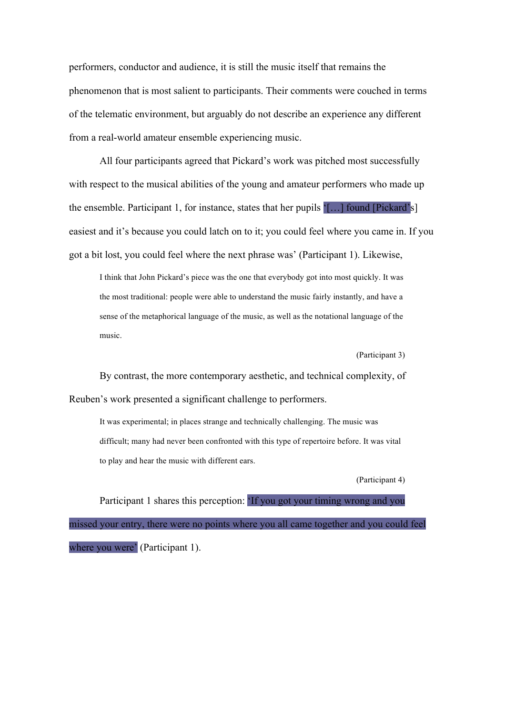performers, conductor and audience, it is still the music itself that remains the phenomenon that is most salient to participants. Their comments were couched in terms of the telematic environment, but arguably do not describe an experience any different from a real-world amateur ensemble experiencing music.

All four participants agreed that Pickard's work was pitched most successfully with respect to the musical abilities of the young and amateur performers who made up the ensemble. Participant 1, for instance, states that her pupils  $[...]$  found [Pickard's] easiest and it's because you could latch on to it; you could feel where you came in. If you got a bit lost, you could feel where the next phrase was' (Participant 1). Likewise,

I think that John Pickard's piece was the one that everybody got into most quickly. It was the most traditional: people were able to understand the music fairly instantly, and have a sense of the metaphorical language of the music, as well as the notational language of the music.

(Participant 3)

By contrast, the more contemporary aesthetic, and technical complexity, of Reuben's work presented a significant challenge to performers.

It was experimental; in places strange and technically challenging. The music was difficult; many had never been confronted with this type of repertoire before. It was vital to play and hear the music with different ears.

(Participant 4)

Participant 1 shares this perception: 'If you got your timing wrong and you missed your entry, there were no points where you all came together and you could feel where you were' (Participant 1).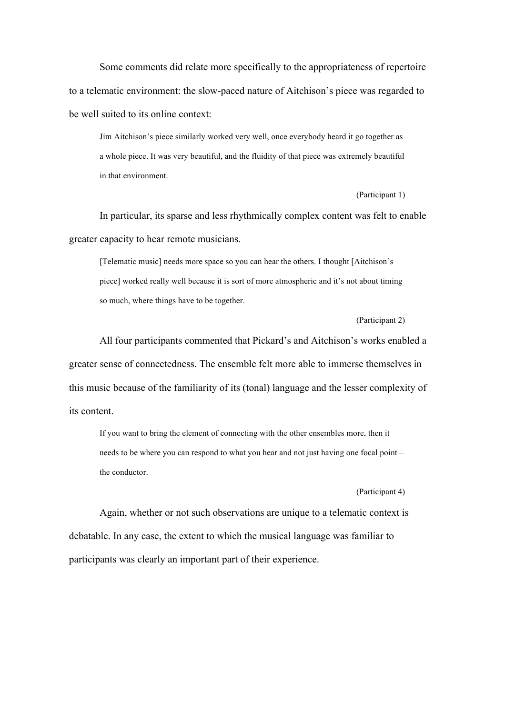Some comments did relate more specifically to the appropriateness of repertoire to a telematic environment: the slow-paced nature of Aitchison's piece was regarded to be well suited to its online context:

Jim Aitchison's piece similarly worked very well, once everybody heard it go together as a whole piece. It was very beautiful, and the fluidity of that piece was extremely beautiful in that environment.

(Participant 1)

In particular, its sparse and less rhythmically complex content was felt to enable greater capacity to hear remote musicians.

[Telematic music] needs more space so you can hear the others. I thought [Aitchison's piece] worked really well because it is sort of more atmospheric and it's not about timing so much, where things have to be together.

#### (Participant 2)

All four participants commented that Pickard's and Aitchison's works enabled a greater sense of connectedness. The ensemble felt more able to immerse themselves in this music because of the familiarity of its (tonal) language and the lesser complexity of its content.

If you want to bring the element of connecting with the other ensembles more, then it needs to be where you can respond to what you hear and not just having one focal point – the conductor.

#### (Participant 4)

Again, whether or not such observations are unique to a telematic context is debatable. In any case, the extent to which the musical language was familiar to participants was clearly an important part of their experience.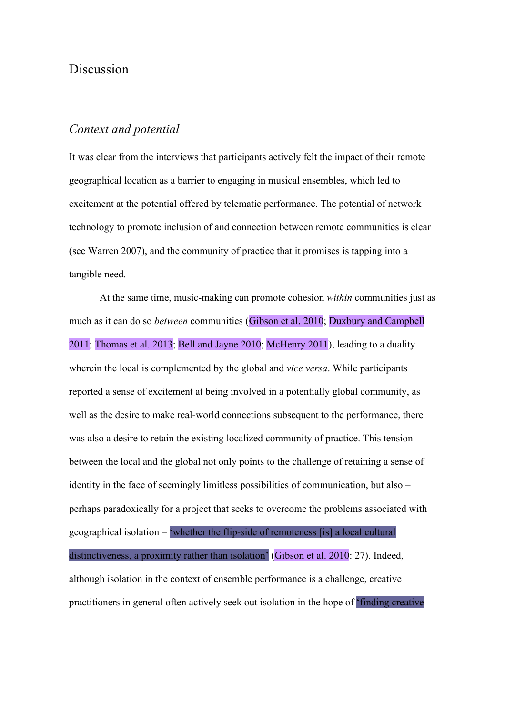# Discussion

# *Context and potential*

It was clear from the interviews that participants actively felt the impact of their remote geographical location as a barrier to engaging in musical ensembles, which led to excitement at the potential offered by telematic performance. The potential of network technology to promote inclusion of and connection between remote communities is clear (see Warren 2007), and the community of practice that it promises is tapping into a tangible need.

At the same time, music-making can promote cohesion *within* communities just as much as it can do so *between* communities (Gibson et al. 2010; Duxbury and Campbell 2011; Thomas et al. 2013; Bell and Jayne 2010; McHenry 2011), leading to a duality wherein the local is complemented by the global and *vice versa*. While participants reported a sense of excitement at being involved in a potentially global community, as well as the desire to make real-world connections subsequent to the performance, there was also a desire to retain the existing localized community of practice. This tension between the local and the global not only points to the challenge of retaining a sense of identity in the face of seemingly limitless possibilities of communication, but also – perhaps paradoxically for a project that seeks to overcome the problems associated with geographical isolation – 'whether the flip-side of remoteness [is] a local cultural distinctiveness, a proximity rather than isolation' (Gibson et al. 2010: 27). Indeed, although isolation in the context of ensemble performance is a challenge, creative practitioners in general often actively seek out isolation in the hope of 'finding creative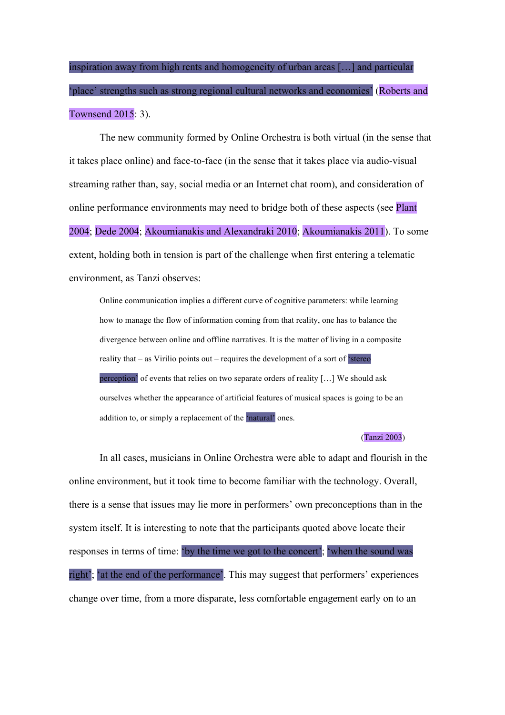inspiration away from high rents and homogeneity of urban areas […] and particular 'place' strengths such as strong regional cultural networks and economies' (Roberts and Townsend 2015: 3).

The new community formed by Online Orchestra is both virtual (in the sense that it takes place online) and face-to-face (in the sense that it takes place via audio-visual streaming rather than, say, social media or an Internet chat room), and consideration of online performance environments may need to bridge both of these aspects (see Plant 2004; Dede 2004; Akoumianakis and Alexandraki 2010; Akoumianakis 2011). To some extent, holding both in tension is part of the challenge when first entering a telematic environment, as Tanzi observes:

Online communication implies a different curve of cognitive parameters: while learning how to manage the flow of information coming from that reality, one has to balance the divergence between online and offline narratives. It is the matter of living in a composite reality that – as Virilio points out – requires the development of a sort of  $\frac{1}{2}$  stereo perception' of events that relies on two separate orders of reality […] We should ask ourselves whether the appearance of artificial features of musical spaces is going to be an addition to, or simply a replacement of the 'natural' ones.

#### (Tanzi 2003)

In all cases, musicians in Online Orchestra were able to adapt and flourish in the online environment, but it took time to become familiar with the technology. Overall, there is a sense that issues may lie more in performers' own preconceptions than in the system itself. It is interesting to note that the participants quoted above locate their responses in terms of time: 'by the time we got to the concert'; 'when the sound was right'; 'at the end of the performance'. This may suggest that performers' experiences change over time, from a more disparate, less comfortable engagement early on to an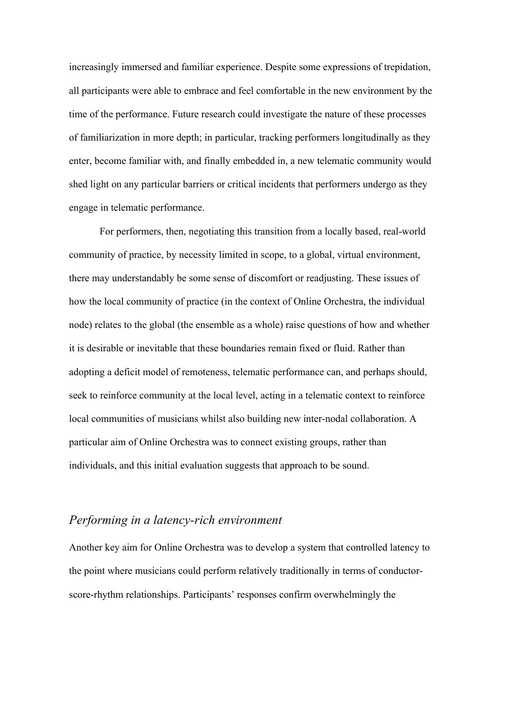increasingly immersed and familiar experience. Despite some expressions of trepidation, all participants were able to embrace and feel comfortable in the new environment by the time of the performance. Future research could investigate the nature of these processes of familiarization in more depth; in particular, tracking performers longitudinally as they enter, become familiar with, and finally embedded in, a new telematic community would shed light on any particular barriers or critical incidents that performers undergo as they engage in telematic performance.

For performers, then, negotiating this transition from a locally based, real-world community of practice, by necessity limited in scope, to a global, virtual environment, there may understandably be some sense of discomfort or readjusting. These issues of how the local community of practice (in the context of Online Orchestra, the individual node) relates to the global (the ensemble as a whole) raise questions of how and whether it is desirable or inevitable that these boundaries remain fixed or fluid. Rather than adopting a deficit model of remoteness, telematic performance can, and perhaps should, seek to reinforce community at the local level, acting in a telematic context to reinforce local communities of musicians whilst also building new inter-nodal collaboration. A particular aim of Online Orchestra was to connect existing groups, rather than individuals, and this initial evaluation suggests that approach to be sound.

# *Performing in a latency-rich environment*

Another key aim for Online Orchestra was to develop a system that controlled latency to the point where musicians could perform relatively traditionally in terms of conductorscore-rhythm relationships. Participants' responses confirm overwhelmingly the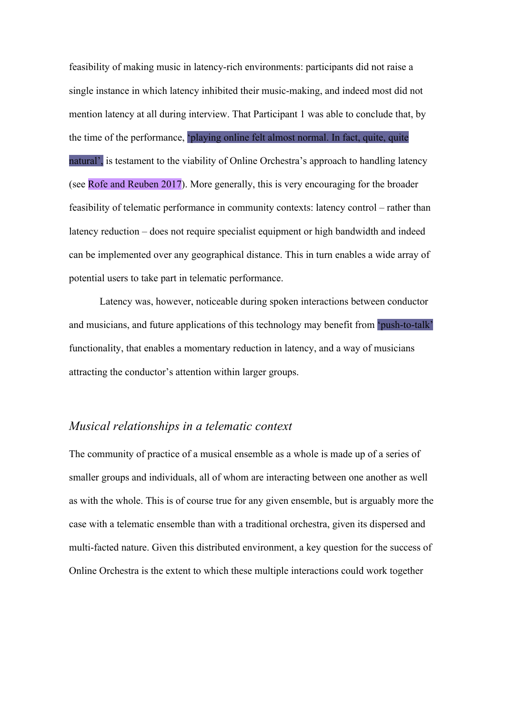feasibility of making music in latency-rich environments: participants did not raise a single instance in which latency inhibited their music-making, and indeed most did not mention latency at all during interview. That Participant 1 was able to conclude that, by the time of the performance, 'playing online felt almost normal. In fact, quite, quite natural', is testament to the viability of Online Orchestra's approach to handling latency (see Rofe and Reuben 2017). More generally, this is very encouraging for the broader feasibility of telematic performance in community contexts: latency control – rather than latency reduction – does not require specialist equipment or high bandwidth and indeed can be implemented over any geographical distance. This in turn enables a wide array of potential users to take part in telematic performance.

Latency was, however, noticeable during spoken interactions between conductor and musicians, and future applications of this technology may benefit from 'push-to-talk' functionality, that enables a momentary reduction in latency, and a way of musicians attracting the conductor's attention within larger groups.

# *Musical relationships in a telematic context*

The community of practice of a musical ensemble as a whole is made up of a series of smaller groups and individuals, all of whom are interacting between one another as well as with the whole. This is of course true for any given ensemble, but is arguably more the case with a telematic ensemble than with a traditional orchestra, given its dispersed and multi-facted nature. Given this distributed environment, a key question for the success of Online Orchestra is the extent to which these multiple interactions could work together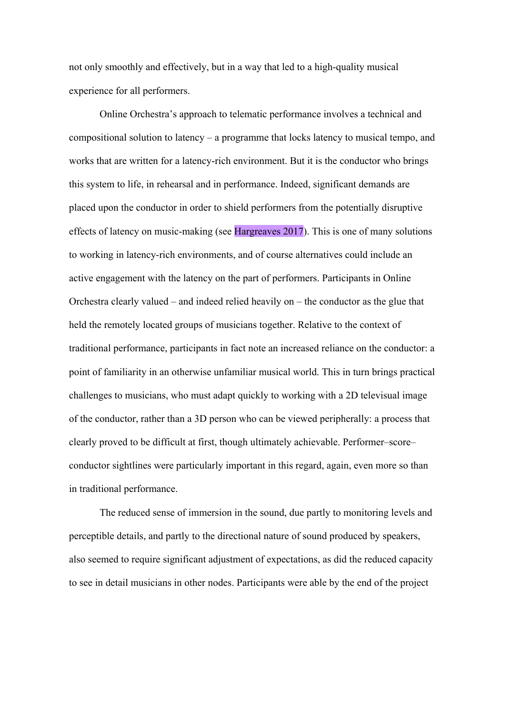not only smoothly and effectively, but in a way that led to a high-quality musical experience for all performers.

Online Orchestra's approach to telematic performance involves a technical and compositional solution to latency – a programme that locks latency to musical tempo, and works that are written for a latency-rich environment. But it is the conductor who brings this system to life, in rehearsal and in performance. Indeed, significant demands are placed upon the conductor in order to shield performers from the potentially disruptive effects of latency on music-making (see Hargreaves 2017). This is one of many solutions to working in latency-rich environments, and of course alternatives could include an active engagement with the latency on the part of performers. Participants in Online Orchestra clearly valued – and indeed relied heavily on – the conductor as the glue that held the remotely located groups of musicians together. Relative to the context of traditional performance, participants in fact note an increased reliance on the conductor: a point of familiarity in an otherwise unfamiliar musical world. This in turn brings practical challenges to musicians, who must adapt quickly to working with a 2D televisual image of the conductor, rather than a 3D person who can be viewed peripherally: a process that clearly proved to be difficult at first, though ultimately achievable. Performer–score– conductor sightlines were particularly important in this regard, again, even more so than in traditional performance.

The reduced sense of immersion in the sound, due partly to monitoring levels and perceptible details, and partly to the directional nature of sound produced by speakers, also seemed to require significant adjustment of expectations, as did the reduced capacity to see in detail musicians in other nodes. Participants were able by the end of the project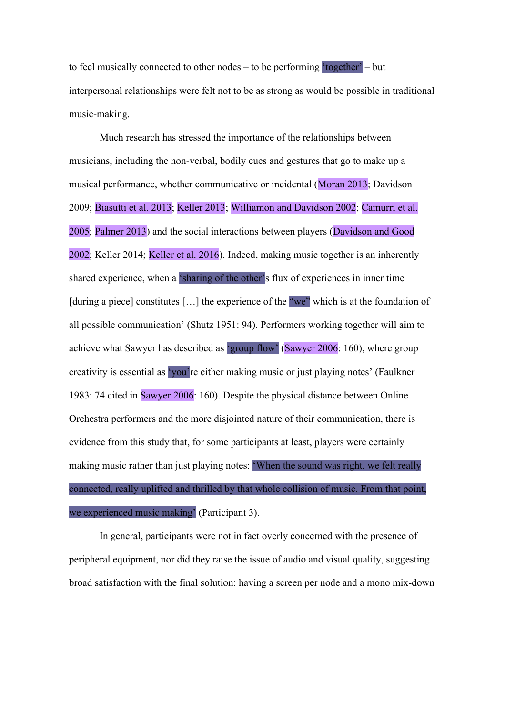to feel musically connected to other nodes – to be performing 'together' – but interpersonal relationships were felt not to be as strong as would be possible in traditional music-making.

Much research has stressed the importance of the relationships between musicians, including the non-verbal, bodily cues and gestures that go to make up a musical performance, whether communicative or incidental (Moran 2013; Davidson 2009; Biasutti et al. 2013; Keller 2013; Williamon and Davidson 2002; Camurri et al. 2005; Palmer 2013) and the social interactions between players (Davidson and Good 2002; Keller 2014; Keller et al. 2016). Indeed, making music together is an inherently shared experience, when a 'sharing of the other's flux of experiences in inner time [during a piece] constitutes [...] the experience of the "we" which is at the foundation of all possible communication' (Shutz 1951: 94). Performers working together will aim to achieve what Sawyer has described as 'group flow' (Sawyer 2006: 160), where group creativity is essential as 'you're either making music or just playing notes' (Faulkner 1983: 74 cited in Sawyer 2006: 160). Despite the physical distance between Online Orchestra performers and the more disjointed nature of their communication, there is evidence from this study that, for some participants at least, players were certainly making music rather than just playing notes: 'When the sound was right, we felt really connected, really uplifted and thrilled by that whole collision of music. From that point, we experienced music making' (Participant 3).

In general, participants were not in fact overly concerned with the presence of peripheral equipment, nor did they raise the issue of audio and visual quality, suggesting broad satisfaction with the final solution: having a screen per node and a mono mix-down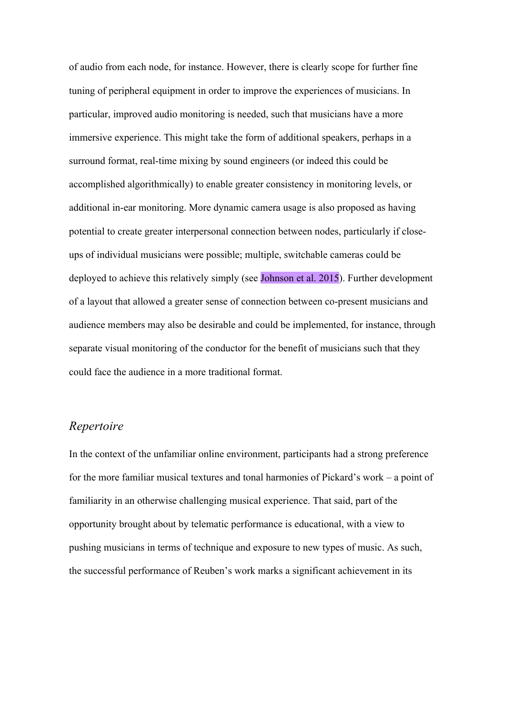of audio from each node, for instance. However, there is clearly scope for further fine tuning of peripheral equipment in order to improve the experiences of musicians. In particular, improved audio monitoring is needed, such that musicians have a more immersive experience. This might take the form of additional speakers, perhaps in a surround format, real-time mixing by sound engineers (or indeed this could be accomplished algorithmically) to enable greater consistency in monitoring levels, or additional in-ear monitoring. More dynamic camera usage is also proposed as having potential to create greater interpersonal connection between nodes, particularly if closeups of individual musicians were possible; multiple, switchable cameras could be deployed to achieve this relatively simply (see Johnson et al. 2015). Further development of a layout that allowed a greater sense of connection between co-present musicians and audience members may also be desirable and could be implemented, for instance, through separate visual monitoring of the conductor for the benefit of musicians such that they could face the audience in a more traditional format.

### *Repertoire*

In the context of the unfamiliar online environment, participants had a strong preference for the more familiar musical textures and tonal harmonies of Pickard's work – a point of familiarity in an otherwise challenging musical experience. That said, part of the opportunity brought about by telematic performance is educational, with a view to pushing musicians in terms of technique and exposure to new types of music. As such, the successful performance of Reuben's work marks a significant achievement in its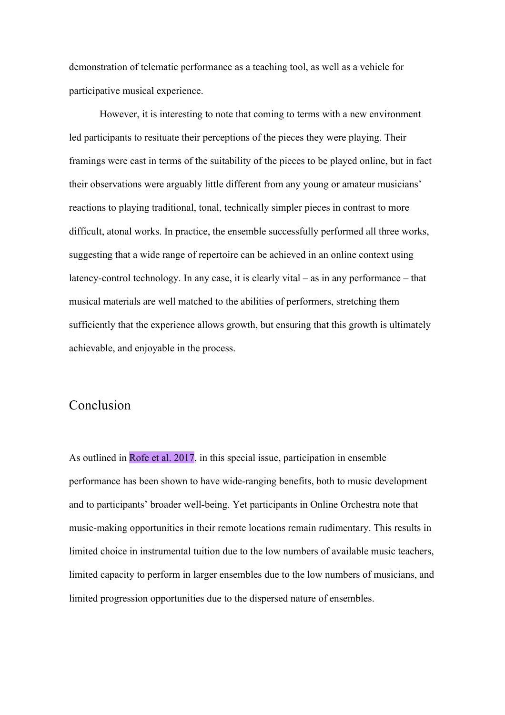demonstration of telematic performance as a teaching tool, as well as a vehicle for participative musical experience.

However, it is interesting to note that coming to terms with a new environment led participants to resituate their perceptions of the pieces they were playing. Their framings were cast in terms of the suitability of the pieces to be played online, but in fact their observations were arguably little different from any young or amateur musicians' reactions to playing traditional, tonal, technically simpler pieces in contrast to more difficult, atonal works. In practice, the ensemble successfully performed all three works, suggesting that a wide range of repertoire can be achieved in an online context using latency-control technology. In any case, it is clearly vital – as in any performance – that musical materials are well matched to the abilities of performers, stretching them sufficiently that the experience allows growth, but ensuring that this growth is ultimately achievable, and enjoyable in the process.

# Conclusion

As outlined in Rofe et al. 2017, in this special issue, participation in ensemble performance has been shown to have wide-ranging benefits, both to music development and to participants' broader well-being. Yet participants in Online Orchestra note that music-making opportunities in their remote locations remain rudimentary. This results in limited choice in instrumental tuition due to the low numbers of available music teachers, limited capacity to perform in larger ensembles due to the low numbers of musicians, and limited progression opportunities due to the dispersed nature of ensembles.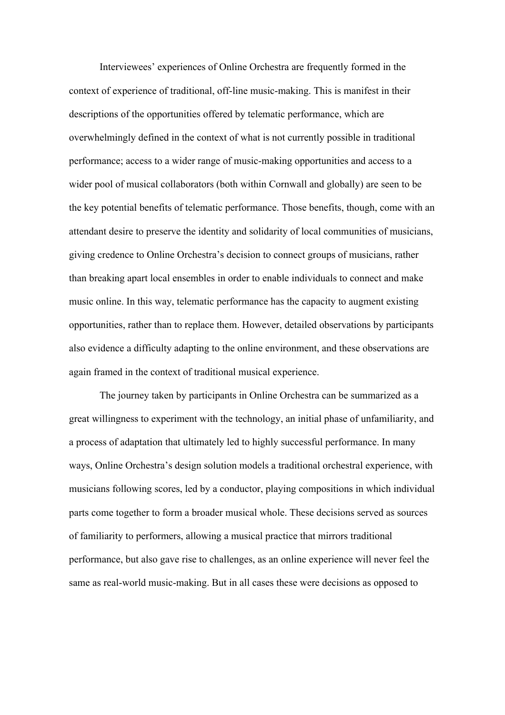Interviewees' experiences of Online Orchestra are frequently formed in the context of experience of traditional, off-line music-making. This is manifest in their descriptions of the opportunities offered by telematic performance, which are overwhelmingly defined in the context of what is not currently possible in traditional performance; access to a wider range of music-making opportunities and access to a wider pool of musical collaborators (both within Cornwall and globally) are seen to be the key potential benefits of telematic performance. Those benefits, though, come with an attendant desire to preserve the identity and solidarity of local communities of musicians, giving credence to Online Orchestra's decision to connect groups of musicians, rather than breaking apart local ensembles in order to enable individuals to connect and make music online. In this way, telematic performance has the capacity to augment existing opportunities, rather than to replace them. However, detailed observations by participants also evidence a difficulty adapting to the online environment, and these observations are again framed in the context of traditional musical experience.

The journey taken by participants in Online Orchestra can be summarized as a great willingness to experiment with the technology, an initial phase of unfamiliarity, and a process of adaptation that ultimately led to highly successful performance. In many ways, Online Orchestra's design solution models a traditional orchestral experience, with musicians following scores, led by a conductor, playing compositions in which individual parts come together to form a broader musical whole. These decisions served as sources of familiarity to performers, allowing a musical practice that mirrors traditional performance, but also gave rise to challenges, as an online experience will never feel the same as real-world music-making. But in all cases these were decisions as opposed to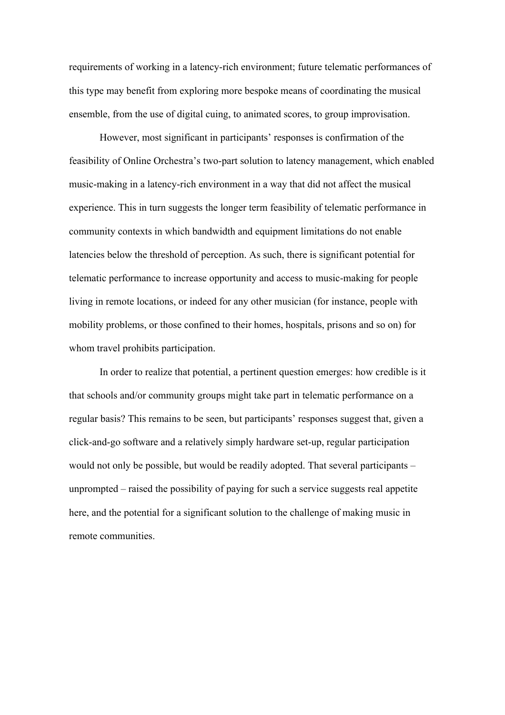requirements of working in a latency-rich environment; future telematic performances of this type may benefit from exploring more bespoke means of coordinating the musical ensemble, from the use of digital cuing, to animated scores, to group improvisation.

However, most significant in participants' responses is confirmation of the feasibility of Online Orchestra's two-part solution to latency management, which enabled music-making in a latency-rich environment in a way that did not affect the musical experience. This in turn suggests the longer term feasibility of telematic performance in community contexts in which bandwidth and equipment limitations do not enable latencies below the threshold of perception. As such, there is significant potential for telematic performance to increase opportunity and access to music-making for people living in remote locations, or indeed for any other musician (for instance, people with mobility problems, or those confined to their homes, hospitals, prisons and so on) for whom travel prohibits participation.

In order to realize that potential, a pertinent question emerges: how credible is it that schools and/or community groups might take part in telematic performance on a regular basis? This remains to be seen, but participants' responses suggest that, given a click-and-go software and a relatively simply hardware set-up, regular participation would not only be possible, but would be readily adopted. That several participants – unprompted – raised the possibility of paying for such a service suggests real appetite here, and the potential for a significant solution to the challenge of making music in remote communities.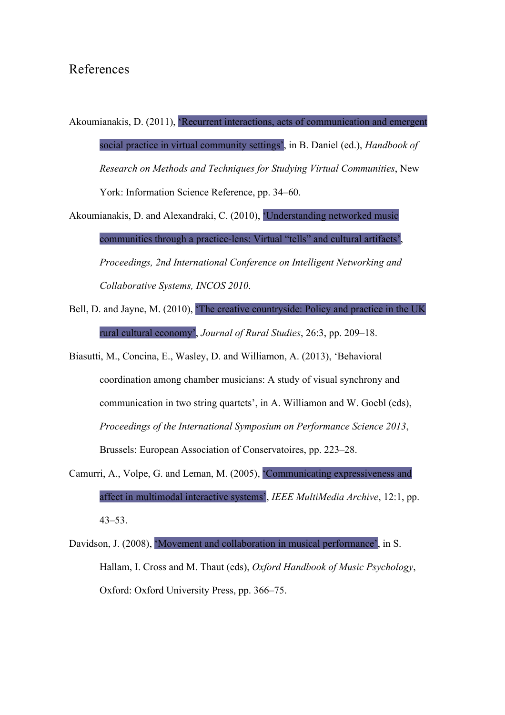## References

Akoumianakis, D. (2011), 'Recurrent interactions, acts of communication and emergent social practice in virtual community settings', in B. Daniel (ed.), *Handbook of Research on Methods and Techniques for Studying Virtual Communities*, New York: Information Science Reference, pp. 34–60.

Akoumianakis, D. and Alexandraki, C. (2010), 'Understanding networked music communities through a practice-lens: Virtual "tells" and cultural artifacts', *Proceedings, 2nd International Conference on Intelligent Networking and Collaborative Systems, INCOS 2010*.

- Bell, D. and Jayne, M. (2010), 'The creative countryside: Policy and practice in the UK rural cultural economy', *Journal of Rural Studies*, 26:3, pp. 209–18.
- Biasutti, M., Concina, E., Wasley, D. and Williamon, A. (2013), 'Behavioral coordination among chamber musicians: A study of visual synchrony and communication in two string quartets', in A. Williamon and W. Goebl (eds), *Proceedings of the International Symposium on Performance Science 2013*, Brussels: European Association of Conservatoires, pp. 223–28.
- Camurri, A., Volpe, G. and Leman, M. (2005), 'Communicating expressiveness and affect in multimodal interactive systems', *IEEE MultiMedia Archive*, 12:1, pp. 43–53.
- Davidson, J. (2008), 'Movement and collaboration in musical performance', in S. Hallam, I. Cross and M. Thaut (eds), *Oxford Handbook of Music Psychology*, Oxford: Oxford University Press, pp. 366–75.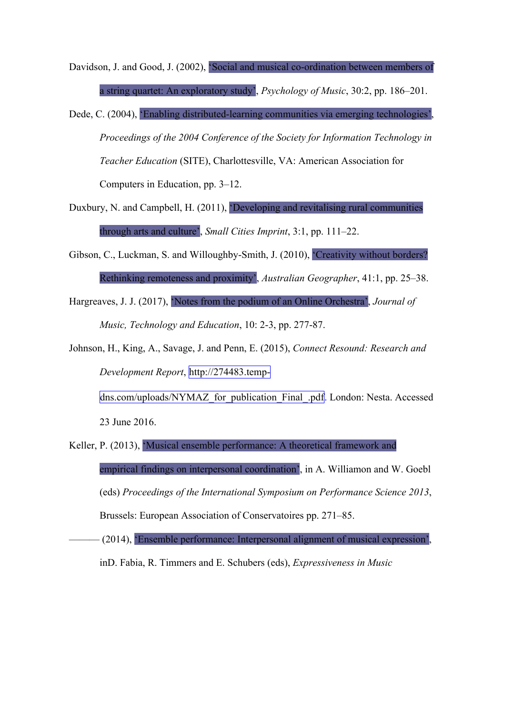Davidson, J. and Good, J. (2002), 'Social and musical co-ordination between members of a string quartet: An exploratory study', *Psychology of Music*, 30:2, pp. 186–201.

Dede, C. (2004), 'Enabling distributed-learning communities via emerging technologies', *Proceedings of the 2004 Conference of the Society for Information Technology in Teacher Education* (SITE), Charlottesville, VA: American Association for Computers in Education, pp. 3–12.

- Duxbury, N. and Campbell, H. (2011), 'Developing and revitalising rural communities through arts and culture', *Small Cities Imprint*, 3:1, pp. 111–22.
- Gibson, C., Luckman, S. and Willoughby-Smith, J. (2010), 'Creativity without borders? Rethinking remoteness and proximity', *Australian Geographer*, 41:1, pp. 25–38.
- Hargreaves, J. J. (2017), 'Notes from the podium of an Online Orchestra', *Journal of Music, Technology and Education*, 10: 2-3, pp. 277-87.
- Johnson, H., King, A., Savage, J. and Penn, E. (2015), *Connect Resound: Research and Development Report*, http://274483.temp-

dns.com/uploads/NYMAZ\_for\_publication\_Final\_.pdf. London: Nesta. Accessed

23 June 2016.

Keller, P. (2013), 'Musical ensemble performance: A theoretical framework and empirical findings on interpersonal coordination', in A. Williamon and W. Goebl (eds) *Proceedings of the International Symposium on Performance Science 2013*, Brussels: European Association of Conservatoires pp. 271–85.

——— (2014), 'Ensemble performance: Interpersonal alignment of musical expression', inD. Fabia, R. Timmers and E. Schubers (eds), *Expressiveness in Music*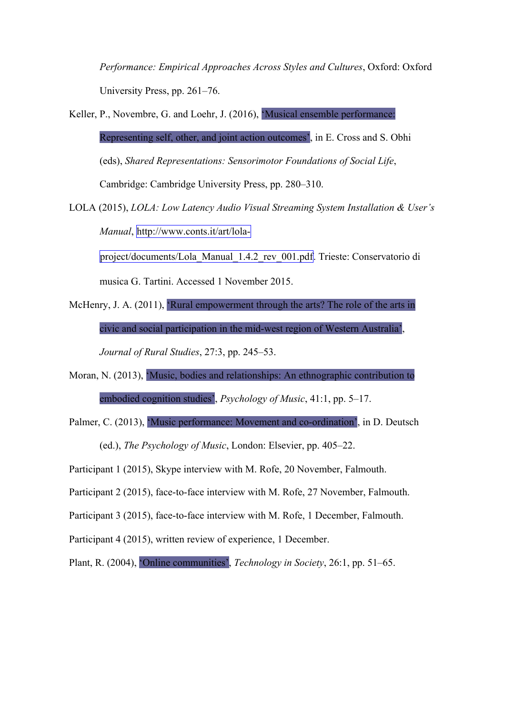*Performance: Empirical Approaches Across Styles and Cultures*, Oxford: Oxford University Press, pp. 261–76.

- Keller, P., Novembre, G. and Loehr, J. (2016), 'Musical ensemble performance: Representing self, other, and joint action outcomes', in E. Cross and S. Obhi (eds), *Shared Representations: Sensorimotor Foundations of Social Life*, Cambridge: Cambridge University Press, pp. 280–310.
- LOLA (2015), *LOLA: Low Latency Audio Visual Streaming System Installation & User's Manual*, http://www.conts.it/art/lola-

project/documents/Lola\_Manual\_1.4.2\_rev\_001.pdf. Trieste: Conservatorio di

musica G. Tartini. Accessed 1 November 2015.

- McHenry, J. A. (2011). 'Rural empowerment through the arts? The role of the arts in civic and social participation in the mid-west region of Western Australia', *Journal of Rural Studies*, 27:3, pp. 245–53.
- Moran, N. (2013), 'Music, bodies and relationships: An ethnographic contribution to embodied cognition studies', *Psychology of Music*, 41:1, pp. 5–17.
- Palmer, C. (2013), 'Music performance: Movement and co-ordination', in D. Deutsch

(ed.), *The Psychology of Music*, London: Elsevier, pp. 405–22.

Participant 1 (2015), Skype interview with M. Rofe, 20 November, Falmouth.

Participant 2 (2015), face-to-face interview with M. Rofe, 27 November, Falmouth.

Participant 3 (2015), face-to-face interview with M. Rofe, 1 December, Falmouth.

Participant 4 (2015), written review of experience, 1 December.

Plant, R. (2004), 'Online communities', *Technology in Society*, 26:1, pp. 51–65.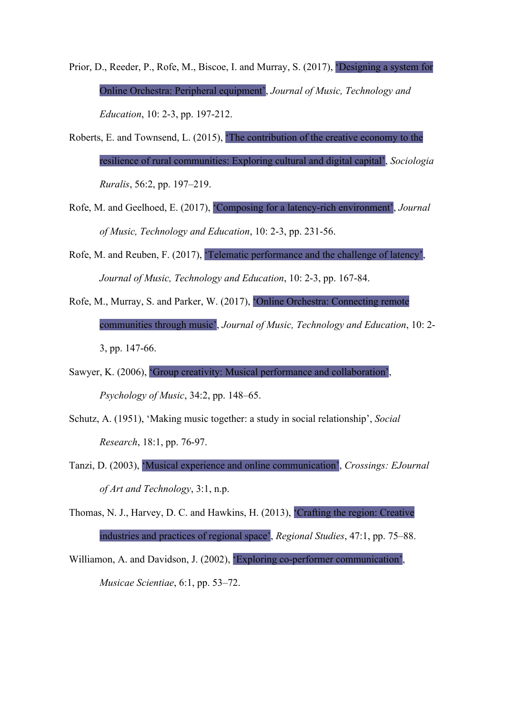- Prior, D., Reeder, P., Rofe, M., Biscoe, I. and Murray, S. (2017), 'Designing a system for Online Orchestra: Peripheral equipment', *Journal of Music, Technology and Education*, 10: 2-3, pp. 197-212.
- Roberts, E. and Townsend, L. (2015), 'The contribution of the creative economy to the resilience of rural communities: Exploring cultural and digital capital', *Sociologia Ruralis*, 56:2, pp. 197–219.
- Rofe, M. and Geelhoed, E. (2017), 'Composing for a latency-rich environment', *Journal of Music, Technology and Education*, 10: 2-3, pp. 231-56.
- Rofe, M. and Reuben, F. (2017), 'Telematic performance and the challenge of latency', *Journal of Music, Technology and Education*, 10: 2-3, pp. 167-84.
- Rofe, M., Murray, S. and Parker, W. (2017), 'Online Orchestra: Connecting remote communities through music', *Journal of Music, Technology and Education*, 10: 2- 3, pp. 147-66.
- Sawyer, K. (2006), 'Group creativity: Musical performance and collaboration',

*Psychology of Music*, 34:2, pp. 148–65.

- Schutz, A. (1951), 'Making music together: a study in social relationship', *Social Research*, 18:1, pp. 76-97.
- Tanzi, D. (2003), 'Musical experience and online communication', *Crossings: EJournal of Art and Technology*, 3:1, n.p.

Thomas, N. J., Harvey, D. C. and Hawkins, H. (2013), 'Crafting the region: Creative industries and practices of regional space', *Regional Studies*, 47:1, pp. 75–88.

Williamon, A. and Davidson, J. (2002), 'Exploring co-performer communication', *Musicae Scientiae*, 6:1, pp. 53–72.